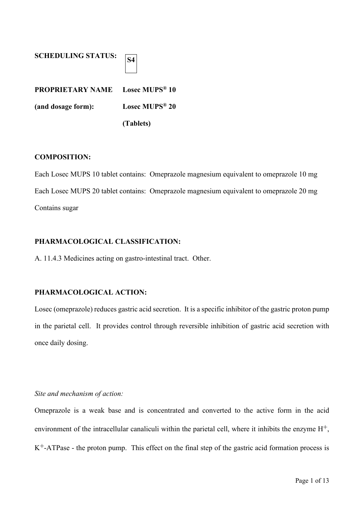| <b>SCHEDULING STATUS:</b>                          |                            |
|----------------------------------------------------|----------------------------|
| <b>PROPRIETARY NAME</b> Losec MUPS <sup>®</sup> 10 |                            |
| (and dosage form):                                 | Losec MUPS <sup>®</sup> 20 |
|                                                    | (Tablets)                  |

## **COMPOSITION:**

Each Losec MUPS 10 tablet contains: Omeprazole magnesium equivalent to omeprazole 10 mg Each Losec MUPS 20 tablet contains: Omeprazole magnesium equivalent to omeprazole 20 mg Contains sugar

## **PHARMACOLOGICAL CLASSIFICATION:**

A. 11.4.3 Medicines acting on gastro-intestinal tract. Other.

## **PHARMACOLOGICAL ACTION:**

Losec (omeprazole) reduces gastric acid secretion. It is a specific inhibitor of the gastric proton pump in the parietal cell. It provides control through reversible inhibition of gastric acid secretion with once daily dosing.

## *Site and mechanism of action:*

Omeprazole is a weak base and is concentrated and converted to the active form in the acid environment of the intracellular canaliculi within the parietal cell, where it inhibits the enzyme  $H^+$ ,  $K^+$ -ATPase - the proton pump. This effect on the final step of the gastric acid formation process is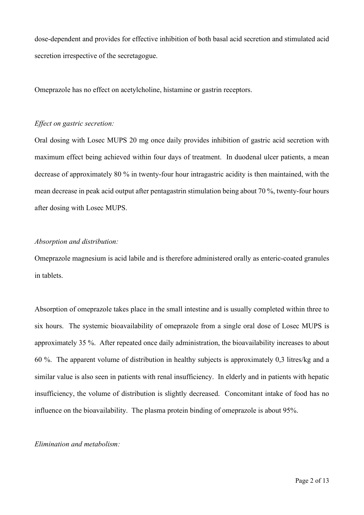dose-dependent and provides for effective inhibition of both basal acid secretion and stimulated acid secretion irrespective of the secretagogue.

Omeprazole has no effect on acetylcholine, histamine or gastrin receptors.

#### *Effect on gastric secretion:*

Oral dosing with Losec MUPS 20 mg once daily provides inhibition of gastric acid secretion with maximum effect being achieved within four days of treatment. In duodenal ulcer patients, a mean decrease of approximately 80 % in twenty-four hour intragastric acidity is then maintained, with the mean decrease in peak acid output after pentagastrin stimulation being about 70 %, twenty-four hours after dosing with Losec MUPS.

### *Absorption and distribution:*

Omeprazole magnesium is acid labile and is therefore administered orally as enteric-coated granules in tablets.

Absorption of omeprazole takes place in the small intestine and is usually completed within three to six hours. The systemic bioavailability of omeprazole from a single oral dose of Losec MUPS is approximately 35 %. After repeated once daily administration, the bioavailability increases to about 60 %. The apparent volume of distribution in healthy subjects is approximately 0,3 litres/kg and a similar value is also seen in patients with renal insufficiency. In elderly and in patients with hepatic insufficiency, the volume of distribution is slightly decreased. Concomitant intake of food has no influence on the bioavailability. The plasma protein binding of omeprazole is about 95%.

#### *Elimination and metabolism:*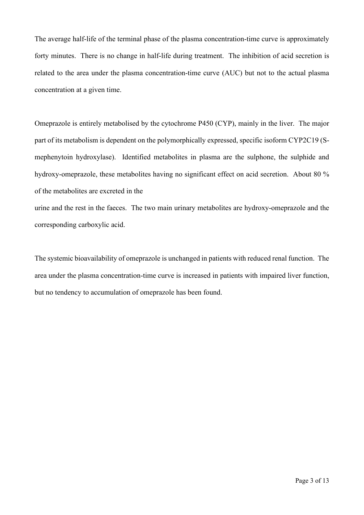The average half-life of the terminal phase of the plasma concentration-time curve is approximately forty minutes. There is no change in half-life during treatment. The inhibition of acid secretion is related to the area under the plasma concentration-time curve (AUC) but not to the actual plasma concentration at a given time.

Omeprazole is entirely metabolised by the cytochrome P450 (CYP), mainly in the liver. The major part of its metabolism is dependent on the polymorphically expressed, specific isoform CYP2C19 (Smephenytoin hydroxylase). Identified metabolites in plasma are the sulphone, the sulphide and hydroxy-omeprazole, these metabolites having no significant effect on acid secretion. About 80 % of the metabolites are excreted in the

urine and the rest in the faeces. The two main urinary metabolites are hydroxy-omeprazole and the corresponding carboxylic acid.

The systemic bioavailability of omeprazole is unchanged in patients with reduced renal function. The area under the plasma concentration-time curve is increased in patients with impaired liver function, but no tendency to accumulation of omeprazole has been found.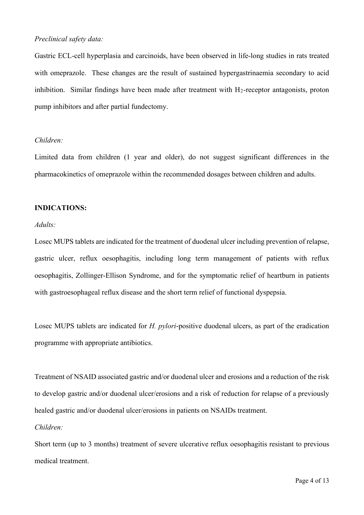## *Preclinical safety data:*

Gastric ECL-cell hyperplasia and carcinoids, have been observed in life-long studies in rats treated with omeprazole. These changes are the result of sustained hypergastrinaemia secondary to acid inhibition. Similar findings have been made after treatment with  $H_2$ -receptor antagonists, proton pump inhibitors and after partial fundectomy.

## *Children:*

Limited data from children (1 year and older), do not suggest significant differences in the pharmacokinetics of omeprazole within the recommended dosages between children and adults.

### **INDICATIONS:**

## *Adults:*

Losec MUPS tablets are indicated for the treatment of duodenal ulcer including prevention of relapse, gastric ulcer, reflux oesophagitis, including long term management of patients with reflux oesophagitis, Zollinger-Ellison Syndrome, and for the symptomatic relief of heartburn in patients with gastroesophageal reflux disease and the short term relief of functional dyspepsia.

Losec MUPS tablets are indicated for *H. pylori*-positive duodenal ulcers, as part of the eradication programme with appropriate antibiotics.

Treatment of NSAID associated gastric and/or duodenal ulcer and erosions and a reduction of the risk to develop gastric and/or duodenal ulcer/erosions and a risk of reduction for relapse of a previously healed gastric and/or duodenal ulcer/erosions in patients on NSAIDs treatment.

## *Children:*

Short term (up to 3 months) treatment of severe ulcerative reflux oesophagitis resistant to previous medical treatment.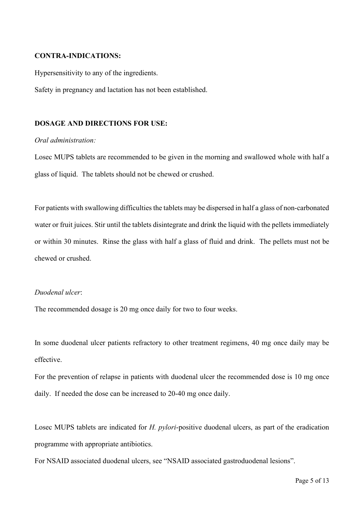### **CONTRA-INDICATIONS:**

Hypersensitivity to any of the ingredients.

Safety in pregnancy and lactation has not been established.

### **DOSAGE AND DIRECTIONS FOR USE:**

### *Oral administration:*

Losec MUPS tablets are recommended to be given in the morning and swallowed whole with half a glass of liquid. The tablets should not be chewed or crushed.

For patients with swallowing difficulties the tablets may be dispersed in half a glass of non-carbonated water or fruit juices. Stir until the tablets disintegrate and drink the liquid with the pellets immediately or within 30 minutes. Rinse the glass with half a glass of fluid and drink. The pellets must not be chewed or crushed.

## *Duodenal ulcer*:

The recommended dosage is 20 mg once daily for two to four weeks.

In some duodenal ulcer patients refractory to other treatment regimens, 40 mg once daily may be effective.

For the prevention of relapse in patients with duodenal ulcer the recommended dose is 10 mg once daily. If needed the dose can be increased to 20-40 mg once daily.

Losec MUPS tablets are indicated for *H. pylori*-positive duodenal ulcers, as part of the eradication programme with appropriate antibiotics.

For NSAID associated duodenal ulcers, see "NSAID associated gastroduodenal lesions".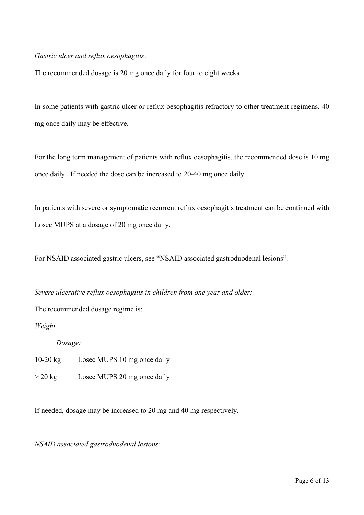## *Gastric ulcer and reflux oesophagitis*:

The recommended dosage is 20 mg once daily for four to eight weeks.

In some patients with gastric ulcer or reflux oesophagitis refractory to other treatment regimens, 40 mg once daily may be effective.

For the long term management of patients with reflux oesophagitis, the recommended dose is 10 mg once daily. If needed the dose can be increased to 20-40 mg once daily.

In patients with severe or symptomatic recurrent reflux oesophagitis treatment can be continued with Losec MUPS at a dosage of 20 mg once daily.

For NSAID associated gastric ulcers, see "NSAID associated gastroduodenal lesions".

*Severe ulcerative reflux oesophagitis in children from one year and older:*

The recommended dosage regime is:

*Weight:*

*Dosage:*

10-20 kg Losec MUPS 10 mg once daily

> 20 kg Losec MUPS 20 mg once daily

If needed, dosage may be increased to 20 mg and 40 mg respectively.

*NSAID associated gastroduodenal lesions:*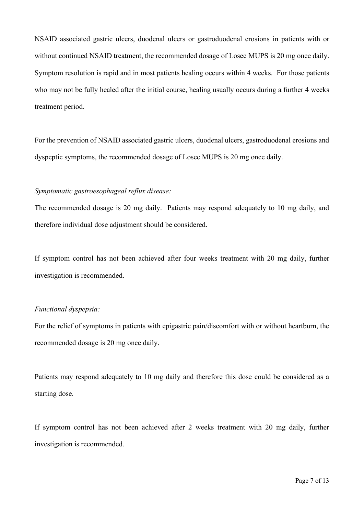NSAID associated gastric ulcers, duodenal ulcers or gastroduodenal erosions in patients with or without continued NSAID treatment, the recommended dosage of Losec MUPS is 20 mg once daily. Symptom resolution is rapid and in most patients healing occurs within 4 weeks. For those patients who may not be fully healed after the initial course, healing usually occurs during a further 4 weeks treatment period.

For the prevention of NSAID associated gastric ulcers, duodenal ulcers, gastroduodenal erosions and dyspeptic symptoms, the recommended dosage of Losec MUPS is 20 mg once daily.

## *Symptomatic gastroesophageal reflux disease:*

The recommended dosage is 20 mg daily. Patients may respond adequately to 10 mg daily, and therefore individual dose adjustment should be considered.

If symptom control has not been achieved after four weeks treatment with 20 mg daily, further investigation is recommended.

### *Functional dyspepsia:*

For the relief of symptoms in patients with epigastric pain/discomfort with or without heartburn, the recommended dosage is 20 mg once daily.

Patients may respond adequately to 10 mg daily and therefore this dose could be considered as a starting dose.

If symptom control has not been achieved after 2 weeks treatment with 20 mg daily, further investigation is recommended.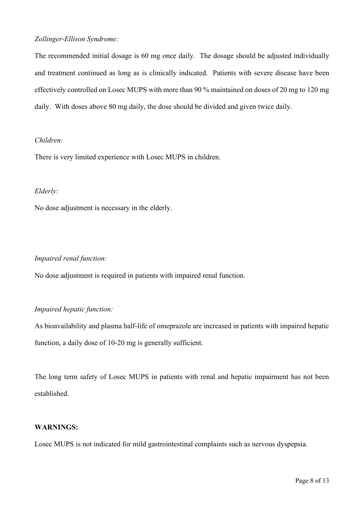## *Zollinger-Ellison Syndrome:*

The recommended initial dosage is 60 mg once daily. The dosage should be adjusted individually and treatment continued as long as is clinically indicated. Patients with severe disease have been effectively controlled on Losec MUPS with more than 90 % maintained on doses of 20 mg to 120 mg daily. With doses above 80 mg daily, the dose should be divided and given twice daily.

## *Children:*

There is very limited experience with Losec MUPS in children.

## *Elderly:*

No dose adjustment is necessary in the elderly.

## *Impaired renal function:*

No dose adjustment is required in patients with impaired renal function.

## *Impaired hepatic function:*

As bioavailability and plasma half-life of omeprazole are increased in patients with impaired hepatic function, a daily dose of 10-20 mg is generally sufficient.

The long term safety of Losec MUPS in patients with renal and hepatic impairment has not been established.

## **WARNINGS:**

Losec MUPS is not indicated for mild gastrointestinal complaints such as nervous dyspepsia.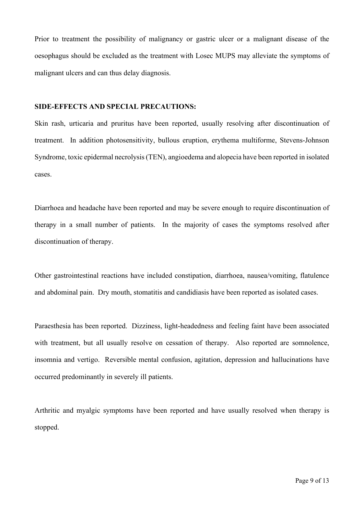Prior to treatment the possibility of malignancy or gastric ulcer or a malignant disease of the oesophagus should be excluded as the treatment with Losec MUPS may alleviate the symptoms of malignant ulcers and can thus delay diagnosis.

### **SIDE-EFFECTS AND SPECIAL PRECAUTIONS:**

Skin rash, urticaria and pruritus have been reported, usually resolving after discontinuation of treatment. In addition photosensitivity, bullous eruption, erythema multiforme, Stevens-Johnson Syndrome, toxic epidermal necrolysis (TEN), angioedema and alopecia have been reported in isolated cases.

Diarrhoea and headache have been reported and may be severe enough to require discontinuation of therapy in a small number of patients. In the majority of cases the symptoms resolved after discontinuation of therapy.

Other gastrointestinal reactions have included constipation, diarrhoea, nausea/vomiting, flatulence and abdominal pain. Dry mouth, stomatitis and candidiasis have been reported as isolated cases.

Paraesthesia has been reported. Dizziness, light-headedness and feeling faint have been associated with treatment, but all usually resolve on cessation of therapy. Also reported are somnolence, insomnia and vertigo. Reversible mental confusion, agitation, depression and hallucinations have occurred predominantly in severely ill patients.

Arthritic and myalgic symptoms have been reported and have usually resolved when therapy is stopped.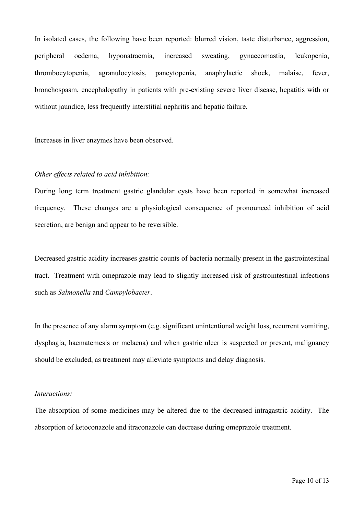In isolated cases, the following have been reported: blurred vision, taste disturbance, aggression, peripheral oedema, hyponatraemia, increased sweating, gynaecomastia, leukopenia, thrombocytopenia, agranulocytosis, pancytopenia, anaphylactic shock, malaise, fever, bronchospasm, encephalopathy in patients with pre-existing severe liver disease, hepatitis with or without jaundice, less frequently interstitial nephritis and hepatic failure.

Increases in liver enzymes have been observed.

#### *Other effects related to acid inhibition:*

During long term treatment gastric glandular cysts have been reported in somewhat increased frequency. These changes are a physiological consequence of pronounced inhibition of acid secretion, are benign and appear to be reversible.

Decreased gastric acidity increases gastric counts of bacteria normally present in the gastrointestinal tract. Treatment with omeprazole may lead to slightly increased risk of gastrointestinal infections such as *Salmonella* and *Campylobacter*.

In the presence of any alarm symptom (e.g. significant unintentional weight loss, recurrent vomiting, dysphagia, haematemesis or melaena) and when gastric ulcer is suspected or present, malignancy should be excluded, as treatment may alleviate symptoms and delay diagnosis.

#### *Interactions:*

The absorption of some medicines may be altered due to the decreased intragastric acidity. The absorption of ketoconazole and itraconazole can decrease during omeprazole treatment.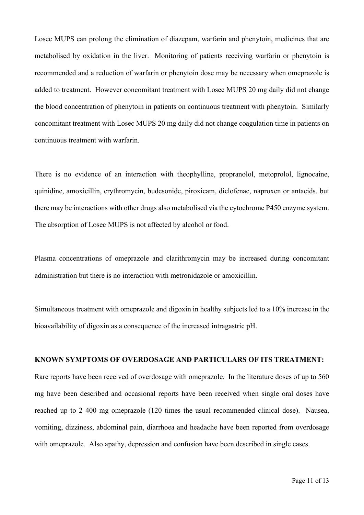Losec MUPS can prolong the elimination of diazepam, warfarin and phenytoin, medicines that are metabolised by oxidation in the liver. Monitoring of patients receiving warfarin or phenytoin is recommended and a reduction of warfarin or phenytoin dose may be necessary when omeprazole is added to treatment. However concomitant treatment with Losec MUPS 20 mg daily did not change the blood concentration of phenytoin in patients on continuous treatment with phenytoin. Similarly concomitant treatment with Losec MUPS 20 mg daily did not change coagulation time in patients on continuous treatment with warfarin.

There is no evidence of an interaction with theophylline, propranolol, metoprolol, lignocaine, quinidine, amoxicillin, erythromycin, budesonide, piroxicam, diclofenac, naproxen or antacids, but there may be interactions with other drugs also metabolised via the cytochrome P450 enzyme system. The absorption of Losec MUPS is not affected by alcohol or food.

Plasma concentrations of omeprazole and clarithromycin may be increased during concomitant administration but there is no interaction with metronidazole or amoxicillin.

Simultaneous treatment with omeprazole and digoxin in healthy subjects led to a 10% increase in the bioavailability of digoxin as a consequence of the increased intragastric pH.

### **KNOWN SYMPTOMS OF OVERDOSAGE AND PARTICULARS OF ITS TREATMENT:**

Rare reports have been received of overdosage with omeprazole. In the literature doses of up to 560 mg have been described and occasional reports have been received when single oral doses have reached up to 2 400 mg omeprazole (120 times the usual recommended clinical dose). Nausea, vomiting, dizziness, abdominal pain, diarrhoea and headache have been reported from overdosage with omeprazole. Also apathy, depression and confusion have been described in single cases.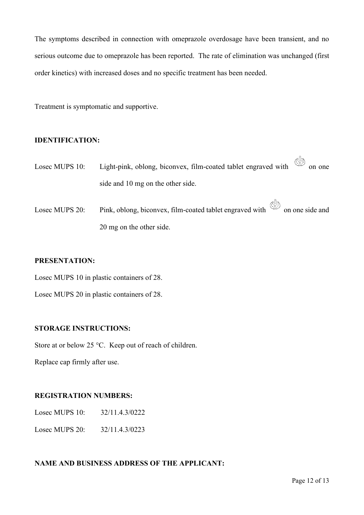The symptoms described in connection with omeprazole overdosage have been transient, and no serious outcome due to omeprazole has been reported. The rate of elimination was unchanged (first order kinetics) with increased doses and no specific treatment has been needed.

Treatment is symptomatic and supportive.

## **IDENTIFICATION:**

- Losec MUPS 10: Light-pink, oblong, biconvex, film-coated tablet engraved with  $\frac{\binom{11}{3}}{20}$  on one side and 10 mg on the other side.
- Losec MUPS 20: Pink, oblong, biconvex, film-coated tablet engraved with  $\otimes$  on one side and 20 mg on the other side.

## **PRESENTATION:**

Losec MUPS 10 in plastic containers of 28.

Losec MUPS 20 in plastic containers of 28.

## **STORAGE INSTRUCTIONS:**

Store at or below 25 °C. Keep out of reach of children.

Replace cap firmly after use.

## **REGISTRATION NUMBERS:**

Losec MUPS 10: 32/11.4.3/0222

Losec MUPS 20: 32/11.4.3/0223

## **NAME AND BUSINESS ADDRESS OF THE APPLICANT:**